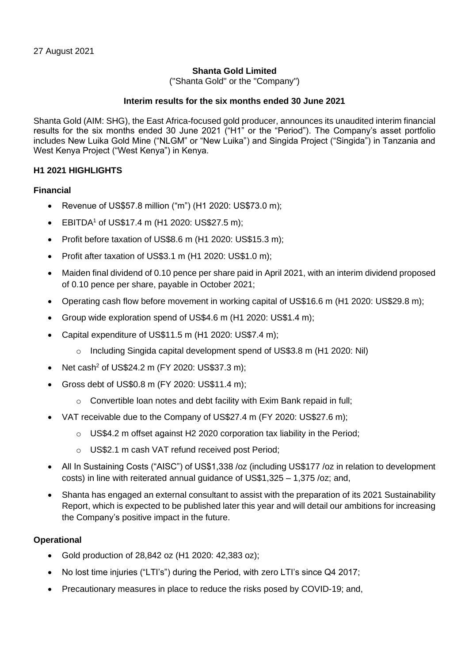## **Shanta Gold Limited**

("Shanta Gold" or the "Company")

### **Interim results for the six months ended 30 June 2021**

Shanta Gold (AIM: SHG), the East Africa-focused gold producer, announces its unaudited interim financial results for the six months ended 30 June 2021 ("H1" or the "Period"). The Company's asset portfolio includes New Luika Gold Mine ("NLGM" or "New Luika") and Singida Project ("Singida") in Tanzania and West Kenya Project ("West Kenya") in Kenya.

## **H1 2021 HIGHLIGHTS**

## **Financial**

- Revenue of US\$57.8 million ("m") (H1 2020: US\$73.0 m);
- EBITDA<sup>1</sup> of US\$17.4 m (H1 2020: US\$27.5 m);
- Profit before taxation of US\$8.6 m (H1 2020: US\$15.3 m);
- Profit after taxation of US\$3.1 m (H1 2020: US\$1.0 m);
- Maiden final dividend of 0.10 pence per share paid in April 2021, with an interim dividend proposed of 0.10 pence per share, payable in October 2021;
- Operating cash flow before movement in working capital of US\$16.6 m (H1 2020: US\$29.8 m);
- Group wide exploration spend of US\$4.6 m (H1 2020: US\$1.4 m);
- Capital expenditure of US\$11.5 m (H1 2020: US\$7.4 m);
	- o Including Singida capital development spend of US\$3.8 m (H1 2020: Nil)
- Net cash<sup>2</sup> of US\$24.2 m (FY 2020: US\$37.3 m);
- Gross debt of US\$0.8 m (FY 2020: US\$11.4 m);
	- o Convertible loan notes and debt facility with Exim Bank repaid in full;
- VAT receivable due to the Company of US\$27.4 m (FY 2020: US\$27.6 m);
	- o US\$4.2 m offset against H2 2020 corporation tax liability in the Period;
	- o US\$2.1 m cash VAT refund received post Period;
- All In Sustaining Costs ("AISC") of US\$1,338 /oz (including US\$177 /oz in relation to development costs) in line with reiterated annual guidance of US\$1,325 – 1,375 /oz; and,
- Shanta has engaged an external consultant to assist with the preparation of its 2021 Sustainability Report, which is expected to be published later this year and will detail our ambitions for increasing the Company's positive impact in the future.

## **Operational**

- Gold production of 28,842 oz (H1 2020: 42,383 oz);
- No lost time injuries ("LTI's") during the Period, with zero LTI's since Q4 2017;
- Precautionary measures in place to reduce the risks posed by COVID-19; and,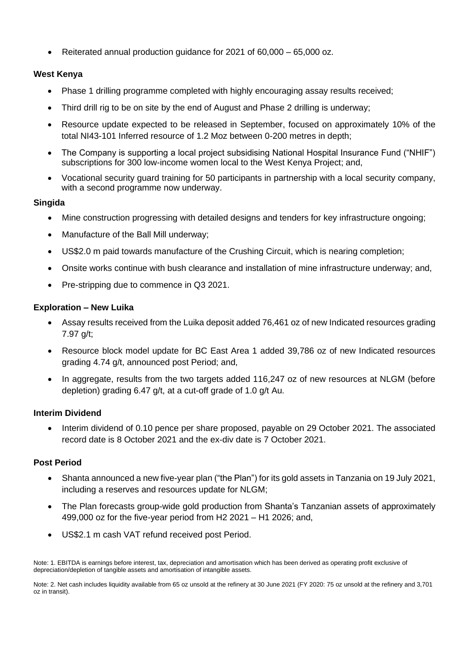• Reiterated annual production guidance for 2021 of 60,000 – 65,000 oz.

## **West Kenya**

- Phase 1 drilling programme completed with highly encouraging assay results received;
- Third drill rig to be on site by the end of August and Phase 2 drilling is underway;
- Resource update expected to be released in September, focused on approximately 10% of the total NI43-101 Inferred resource of 1.2 Moz between 0-200 metres in depth;
- The Company is supporting a local project subsidising National Hospital Insurance Fund ("NHIF") subscriptions for 300 low-income women local to the West Kenya Project; and,
- Vocational security guard training for 50 participants in partnership with a local security company, with a second programme now underway.

## **Singida**

- Mine construction progressing with detailed designs and tenders for key infrastructure ongoing;
- Manufacture of the Ball Mill underway;
- US\$2.0 m paid towards manufacture of the Crushing Circuit, which is nearing completion;
- Onsite works continue with bush clearance and installation of mine infrastructure underway; and,
- Pre-stripping due to commence in Q3 2021.

## **Exploration – New Luika**

- Assay results received from the Luika deposit added 76,461 oz of new Indicated resources grading 7.97 g/t;
- Resource block model update for BC East Area 1 added 39.786 oz of new Indicated resources grading 4.74 g/t, announced post Period; and,
- In aggregate, results from the two targets added 116,247 oz of new resources at NLGM (before depletion) grading 6.47 g/t, at a cut-off grade of 1.0 g/t Au.

## **Interim Dividend**

• Interim dividend of 0.10 pence per share proposed, payable on 29 October 2021. The associated record date is 8 October 2021 and the ex-div date is 7 October 2021.

## **Post Period**

- Shanta announced a new five-year plan ("the Plan") for its gold assets in Tanzania on 19 July 2021, including a reserves and resources update for NLGM;
- The Plan forecasts group-wide gold production from Shanta's Tanzanian assets of approximately 499,000 oz for the five-year period from H2 2021 – H1 2026; and,
- US\$2.1 m cash VAT refund received post Period.

Note: 1. EBITDA is earnings before interest, tax, depreciation and amortisation which has been derived as operating profit exclusive of depreciation/depletion of tangible assets and amortisation of intangible assets.

Note: 2. Net cash includes liquidity available from 65 oz unsold at the refinery at 30 June 2021 (FY 2020: 75 oz unsold at the refinery and 3,701 oz in transit).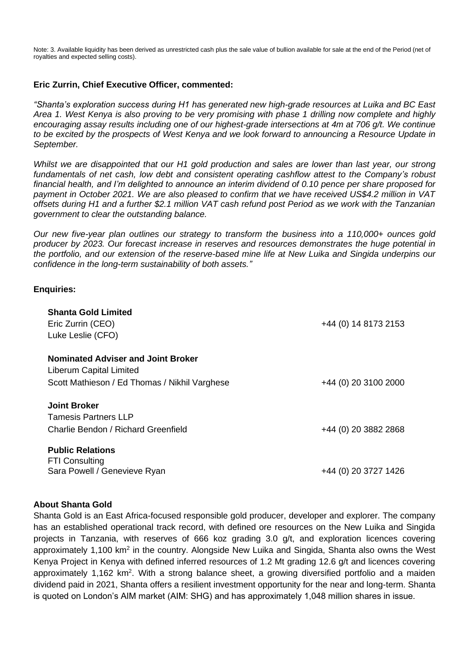Note: 3. Available liquidity has been derived as unrestricted cash plus the sale value of bullion available for sale at the end of the Period (net of royalties and expected selling costs).

## **Eric Zurrin, Chief Executive Officer, commented:**

*"Shanta's exploration success during H1 has generated new high-grade resources at Luika and BC East Area 1. West Kenya is also proving to be very promising with phase 1 drilling now complete and highly encouraging assay results including one of our highest-grade intersections at 4m at 706 g/t. We continue to be excited by the prospects of West Kenya and we look forward to announcing a Resource Update in September.* 

*Whilst we are disappointed that our H1 gold production and sales are lower than last year, our strong fundamentals of net cash, low debt and consistent operating cashflow attest to the Company's robust financial health, and I'm delighted to announce an interim dividend of 0.10 pence per share proposed for payment in October 2021. We are also pleased to confirm that we have received US\$4.2 million in VAT offsets during H1 and a further \$2.1 million VAT cash refund post Period as we work with the Tanzanian government to clear the outstanding balance.* 

*Our new five-year plan outlines our strategy to transform the business into a 110,000+ ounces gold producer by 2023. Our forecast increase in reserves and resources demonstrates the huge potential in the portfolio, and our extension of the reserve-based mine life at New Luika and Singida underpins our confidence in the long-term sustainability of both assets."*

### **Enquiries:**

| <b>Shanta Gold Limited</b><br>Eric Zurrin (CEO)<br>Luke Leslie (CFO)                                                  | +44 (0) 14 8173 2153 |
|-----------------------------------------------------------------------------------------------------------------------|----------------------|
| <b>Nominated Adviser and Joint Broker</b><br>Liberum Capital Limited<br>Scott Mathieson / Ed Thomas / Nikhil Varghese | +44 (0) 20 3100 2000 |
| <b>Joint Broker</b><br><b>Tamesis Partners LLP</b><br>Charlie Bendon / Richard Greenfield                             | +44 (0) 20 3882 2868 |
| <b>Public Relations</b><br><b>FTI Consulting</b><br>Sara Powell / Genevieve Ryan                                      | +44 (0) 20 3727 1426 |

### **About Shanta Gold**

Shanta Gold is an East Africa-focused responsible gold producer, developer and explorer. The company has an established operational track record, with defined ore resources on the New Luika and Singida projects in Tanzania, with reserves of 666 koz grading 3.0 g/t, and exploration licences covering approximately 1,100 km<sup>2</sup> in the country. Alongside New Luika and Singida, Shanta also owns the West Kenya Project in Kenya with defined inferred resources of 1.2 Mt grading 12.6 g/t and licences covering approximately 1,162 km<sup>2</sup>. With a strong balance sheet, a growing diversified portfolio and a maiden dividend paid in 2021, Shanta offers a resilient investment opportunity for the near and long-term. Shanta is quoted on London's AIM market (AIM: SHG) and has approximately 1,048 million shares in issue.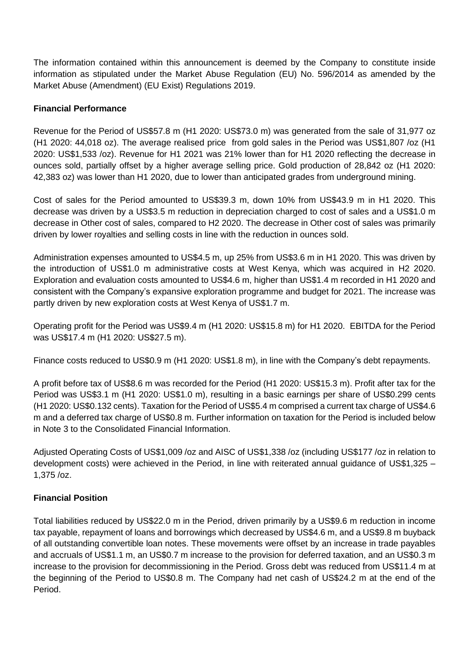The information contained within this announcement is deemed by the Company to constitute inside information as stipulated under the Market Abuse Regulation (EU) No. 596/2014 as amended by the Market Abuse (Amendment) (EU Exist) Regulations 2019.

## **Financial Performance**

Revenue for the Period of US\$57.8 m (H1 2020: US\$73.0 m) was generated from the sale of 31,977 oz (H1 2020: 44,018 oz). The average realised price from gold sales in the Period was US\$1,807 /oz (H1 2020: US\$1,533 /oz). Revenue for H1 2021 was 21% lower than for H1 2020 reflecting the decrease in ounces sold, partially offset by a higher average selling price. Gold production of 28,842 oz (H1 2020: 42,383 oz) was lower than H1 2020, due to lower than anticipated grades from underground mining.

Cost of sales for the Period amounted to US\$39.3 m, down 10% from US\$43.9 m in H1 2020. This decrease was driven by a US\$3.5 m reduction in depreciation charged to cost of sales and a US\$1.0 m decrease in Other cost of sales, compared to H2 2020. The decrease in Other cost of sales was primarily driven by lower royalties and selling costs in line with the reduction in ounces sold.

Administration expenses amounted to US\$4.5 m, up 25% from US\$3.6 m in H1 2020. This was driven by the introduction of US\$1.0 m administrative costs at West Kenya, which was acquired in H2 2020. Exploration and evaluation costs amounted to US\$4.6 m, higher than US\$1.4 m recorded in H1 2020 and consistent with the Company's expansive exploration programme and budget for 2021. The increase was partly driven by new exploration costs at West Kenya of US\$1.7 m.

Operating profit for the Period was US\$9.4 m (H1 2020: US\$15.8 m) for H1 2020. EBITDA for the Period was US\$17.4 m (H1 2020: US\$27.5 m).

Finance costs reduced to US\$0.9 m (H1 2020: US\$1.8 m), in line with the Company's debt repayments.

A profit before tax of US\$8.6 m was recorded for the Period (H1 2020: US\$15.3 m). Profit after tax for the Period was US\$3.1 m (H1 2020: US\$1.0 m), resulting in a basic earnings per share of US\$0.299 cents (H1 2020: US\$0.132 cents). Taxation for the Period of US\$5.4 m comprised a current tax charge of US\$4.6 m and a deferred tax charge of US\$0.8 m. Further information on taxation for the Period is included below in Note 3 to the Consolidated Financial Information.

Adjusted Operating Costs of US\$1,009 /oz and AISC of US\$1,338 /oz (including US\$177 /oz in relation to development costs) were achieved in the Period, in line with reiterated annual guidance of US\$1,325 – 1,375 /oz.

## **Financial Position**

Total liabilities reduced by US\$22.0 m in the Period, driven primarily by a US\$9.6 m reduction in income tax payable, repayment of loans and borrowings which decreased by US\$4.6 m, and a US\$9.8 m buyback of all outstanding convertible loan notes. These movements were offset by an increase in trade payables and accruals of US\$1.1 m, an US\$0.7 m increase to the provision for deferred taxation, and an US\$0.3 m increase to the provision for decommissioning in the Period. Gross debt was reduced from US\$11.4 m at the beginning of the Period to US\$0.8 m. The Company had net cash of US\$24.2 m at the end of the Period.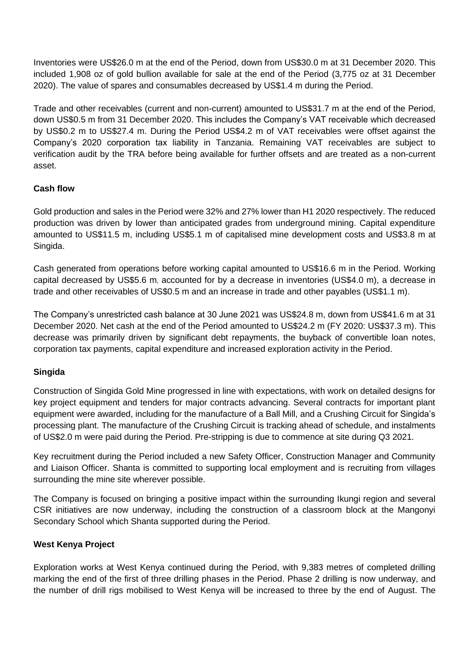Inventories were US\$26.0 m at the end of the Period, down from US\$30.0 m at 31 December 2020. This included 1,908 oz of gold bullion available for sale at the end of the Period (3,775 oz at 31 December 2020). The value of spares and consumables decreased by US\$1.4 m during the Period.

Trade and other receivables (current and non-current) amounted to US\$31.7 m at the end of the Period, down US\$0.5 m from 31 December 2020. This includes the Company's VAT receivable which decreased by US\$0.2 m to US\$27.4 m. During the Period US\$4.2 m of VAT receivables were offset against the Company's 2020 corporation tax liability in Tanzania. Remaining VAT receivables are subject to verification audit by the TRA before being available for further offsets and are treated as a non-current asset.

## **Cash flow**

Gold production and sales in the Period were 32% and 27% lower than H1 2020 respectively. The reduced production was driven by lower than anticipated grades from underground mining. Capital expenditure amounted to US\$11.5 m, including US\$5.1 m of capitalised mine development costs and US\$3.8 m at Singida.

Cash generated from operations before working capital amounted to US\$16.6 m in the Period. Working capital decreased by US\$5.6 m, accounted for by a decrease in inventories (US\$4.0 m), a decrease in trade and other receivables of US\$0.5 m and an increase in trade and other payables (US\$1.1 m).

The Company's unrestricted cash balance at 30 June 2021 was US\$24.8 m, down from US\$41.6 m at 31 December 2020. Net cash at the end of the Period amounted to US\$24.2 m (FY 2020: US\$37.3 m). This decrease was primarily driven by significant debt repayments, the buyback of convertible loan notes, corporation tax payments, capital expenditure and increased exploration activity in the Period.

## **Singida**

Construction of Singida Gold Mine progressed in line with expectations, with work on detailed designs for key project equipment and tenders for major contracts advancing. Several contracts for important plant equipment were awarded, including for the manufacture of a Ball Mill, and a Crushing Circuit for Singida's processing plant. The manufacture of the Crushing Circuit is tracking ahead of schedule, and instalments of US\$2.0 m were paid during the Period. Pre-stripping is due to commence at site during Q3 2021.

Key recruitment during the Period included a new Safety Officer, Construction Manager and Community and Liaison Officer. Shanta is committed to supporting local employment and is recruiting from villages surrounding the mine site wherever possible.

The Company is focused on bringing a positive impact within the surrounding Ikungi region and several CSR initiatives are now underway, including the construction of a classroom block at the Mangonyi Secondary School which Shanta supported during the Period.

## **West Kenya Project**

Exploration works at West Kenya continued during the Period, with 9,383 metres of completed drilling marking the end of the first of three drilling phases in the Period. Phase 2 drilling is now underway, and the number of drill rigs mobilised to West Kenya will be increased to three by the end of August. The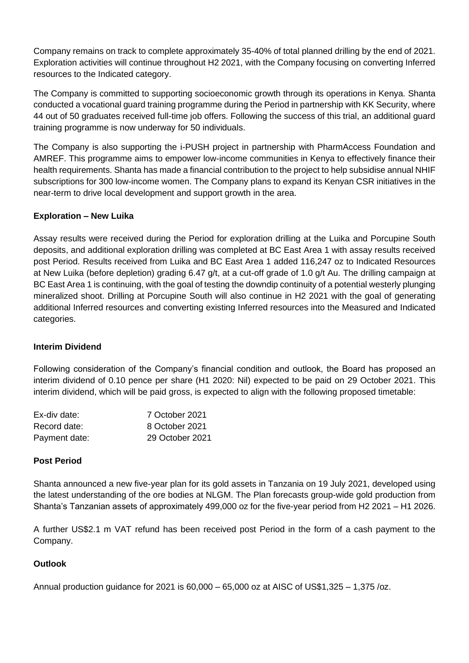Company remains on track to complete approximately 35-40% of total planned drilling by the end of 2021. Exploration activities will continue throughout H2 2021, with the Company focusing on converting Inferred resources to the Indicated category.

The Company is committed to supporting socioeconomic growth through its operations in Kenya. Shanta conducted a vocational guard training programme during the Period in partnership with KK Security, where 44 out of 50 graduates received full-time job offers. Following the success of this trial, an additional guard training programme is now underway for 50 individuals.

The Company is also supporting the i-PUSH project in partnership with PharmAccess Foundation and AMREF. This programme aims to empower low-income communities in Kenya to effectively finance their health requirements. Shanta has made a financial contribution to the project to help subsidise annual NHIF subscriptions for 300 low-income women. The Company plans to expand its Kenyan CSR initiatives in the near-term to drive local development and support growth in the area.

## **Exploration – New Luika**

Assay results were received during the Period for exploration drilling at the Luika and Porcupine South deposits, and additional exploration drilling was completed at BC East Area 1 with assay results received post Period. Results received from Luika and BC East Area 1 added 116,247 oz to Indicated Resources at New Luika (before depletion) grading 6.47 g/t, at a cut-off grade of 1.0 g/t Au. The drilling campaign at BC East Area 1 is continuing, with the goal of testing the downdip continuity of a potential westerly plunging mineralized shoot. Drilling at Porcupine South will also continue in H2 2021 with the goal of generating additional Inferred resources and converting existing Inferred resources into the Measured and Indicated categories.

## **Interim Dividend**

Following consideration of the Company's financial condition and outlook, the Board has proposed an interim dividend of 0.10 pence per share (H1 2020: Nil) expected to be paid on 29 October 2021. This interim dividend, which will be paid gross, is expected to align with the following proposed timetable:

| Ex-div date:  | 7 October 2021  |
|---------------|-----------------|
| Record date:  | 8 October 2021  |
| Payment date: | 29 October 2021 |

## **Post Period**

Shanta announced a new five-year plan for its gold assets in Tanzania on 19 July 2021, developed using the latest understanding of the ore bodies at NLGM. The Plan forecasts group-wide gold production from Shanta's Tanzanian assets of approximately 499,000 oz for the five-year period from H2 2021 – H1 2026.

A further US\$2.1 m VAT refund has been received post Period in the form of a cash payment to the Company.

## **Outlook**

Annual production guidance for 2021 is 60,000 – 65,000 oz at AISC of US\$1,325 – 1,375 /oz.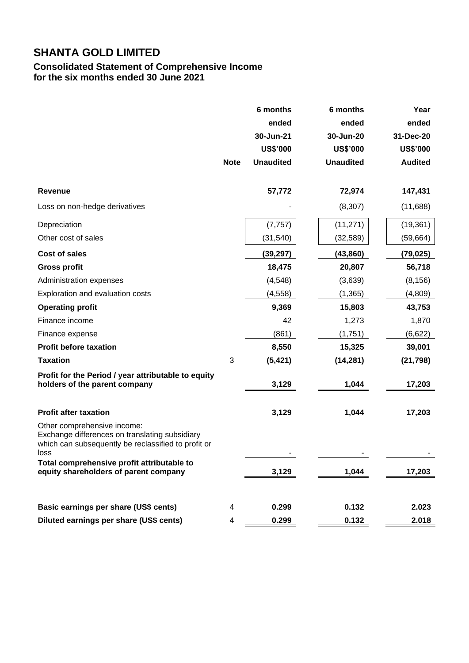## **Consolidated Statement of Comprehensive Income for the six months ended 30 June 2021**

|                                                                                                                                                                                            | <b>Note</b> | 6 months<br>ended<br>30-Jun-21<br><b>US\$'000</b><br><b>Unaudited</b> | 6 months<br>ended<br>30-Jun-20<br><b>US\$'000</b><br><b>Unaudited</b> | Year<br>ended<br>31-Dec-20<br><b>US\$'000</b><br><b>Audited</b> |
|--------------------------------------------------------------------------------------------------------------------------------------------------------------------------------------------|-------------|-----------------------------------------------------------------------|-----------------------------------------------------------------------|-----------------------------------------------------------------|
| <b>Revenue</b>                                                                                                                                                                             |             | 57,772                                                                | 72,974                                                                | 147,431                                                         |
| Loss on non-hedge derivatives                                                                                                                                                              |             |                                                                       | (8, 307)                                                              | (11,688)                                                        |
| Depreciation<br>Other cost of sales                                                                                                                                                        |             | (7, 757)<br>(31, 540)                                                 | (11, 271)<br>(32, 589)                                                | (19, 361)<br>(59, 664)                                          |
| <b>Cost of sales</b>                                                                                                                                                                       |             | (39, 297)                                                             | (43, 860)                                                             | (79, 025)                                                       |
| <b>Gross profit</b>                                                                                                                                                                        |             | 18,475                                                                | 20,807                                                                | 56,718                                                          |
| Administration expenses                                                                                                                                                                    |             | (4, 548)                                                              | (3,639)                                                               | (8, 156)                                                        |
| Exploration and evaluation costs                                                                                                                                                           |             | (4, 558)                                                              | (1, 365)                                                              | (4,809)                                                         |
| <b>Operating profit</b>                                                                                                                                                                    |             | 9,369                                                                 | 15,803                                                                | 43,753                                                          |
| Finance income                                                                                                                                                                             |             | 42                                                                    | 1,273                                                                 | 1,870                                                           |
| Finance expense                                                                                                                                                                            |             | (861)                                                                 | (1,751)                                                               | (6,622)                                                         |
| <b>Profit before taxation</b>                                                                                                                                                              |             | 8,550                                                                 | 15,325                                                                | 39,001                                                          |
| <b>Taxation</b>                                                                                                                                                                            | 3           | (5, 421)                                                              | (14, 281)                                                             | (21, 798)                                                       |
| Profit for the Period / year attributable to equity<br>holders of the parent company                                                                                                       |             | 3,129                                                                 | 1,044                                                                 | 17,203                                                          |
| <b>Profit after taxation</b>                                                                                                                                                               |             | 3,129                                                                 | 1,044                                                                 | 17,203                                                          |
| Other comprehensive income:<br>Exchange differences on translating subsidiary<br>which can subsequently be reclassified to profit or<br>loss<br>Total comprehensive profit attributable to |             |                                                                       |                                                                       |                                                                 |
| equity shareholders of parent company                                                                                                                                                      |             | 3,129                                                                 | 1,044                                                                 | 17,203                                                          |
|                                                                                                                                                                                            |             |                                                                       |                                                                       |                                                                 |
| Basic earnings per share (US\$ cents)                                                                                                                                                      | 4           | 0.299                                                                 | 0.132                                                                 | 2.023                                                           |
| Diluted earnings per share (US\$ cents)                                                                                                                                                    | 4           | 0.299                                                                 | 0.132                                                                 | 2.018                                                           |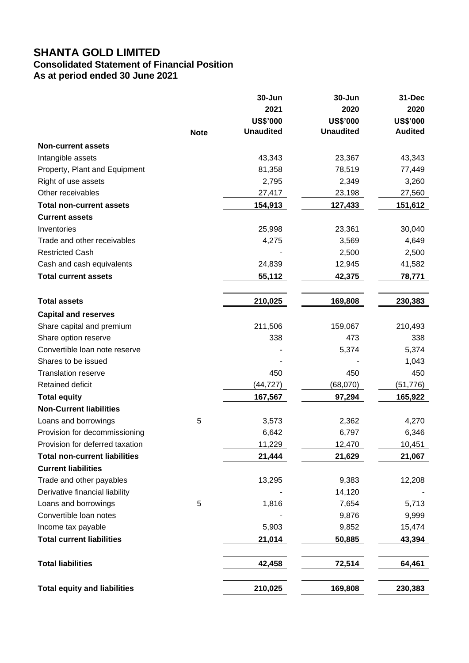## **Consolidated Statement of Financial Position As at period ended 30 June 2021**

**30-Jun 30-Jun 31-Dec 2021 2020 2020 US\$'000 US\$'000 US\$'000 Note Unaudited Unaudited Audited Non-current assets** Intangible assets 43,343 23,367 43,343 Property, Plant and Equipment 2008 1.358 78,519 77,449 Right of use assets 2,795 2,349 3,260 Other receivables 27,417 23,198 27,560 **Total non-current assets 154,913 127,433 151,612 Current assets** Inventories 25,998 23,361 30,040 Trade and other receivables and the receivables and the receivables and the set of the 4,275 and 4,649 and 4,649 Restricted Cash 2,500 2,500 2,500 2,500 2,500 2,500 2,500 2,500 2,500 2,500 2,500 2,500 2,500 2,500 2,500 2,500 2,500 2,500 2,500 2,500 2,500 2,500 2,500 2,500 2,500 2,500 2,500 2,500 2,500 2,500 2,500 2,500 2,500 2,500 2, Cash and cash equivalents **24,839** 12,945 41,582 **Total current assets 55,112 42,375 78,771 Total assets 210,025 169,808 230,383 Capital and reserves** Share capital and premium 10.000 159,067 210,493 Share option reserve **338** 473 338 Convertible loan note reserve  $\sim$  5.374 5.374 5.374 Shares to be issued and the state of the state of the state of the state of the state of the state of the state of the state of the state of the state of the state of the state of the state of the state of the state of the Translation reserve 450 450 450 Retained deficit (44,727) (68,070) (51,776) **Total equity 167,567 97,294 165,922 Non-Current liabilities** Loans and borrowings 5 3,573 2,362 4,270 Provision for decommissioning the control of the control of 6,642 6,797 6,346 Provision for deferred taxation and the control of the 11,229 12,470 10,451 **Total non-current liabilities 21,444 21,629 21,067 Current liabilities** Trade and other payables 13,295 9,383 12,208 Derivative financial liability and the set of the 14,120 of the 14,120 of the 14,120 of the 14,120 of the 14,120 of the 14,120 of the 14,120 of the 14,120 of the 14,120 of the 14,120 of the 14,120 of the 14,120 of the 14 o Loans and borrowings 1,816 1,816 7,654 5,713 Convertible loan notes and the set of the set of the set of the set of the set of the set of the set of the set of the set of the set of the set of the set of the set of the set of the set of the set of the set of the set Income tax payable **15,903** 15,903 15,903 15,474 **Total current liabilities 21,014 50,885 43,394 Total liabilities 42,458 72,514 64,461 Total equity and liabilities 210,025 169,808 230,383**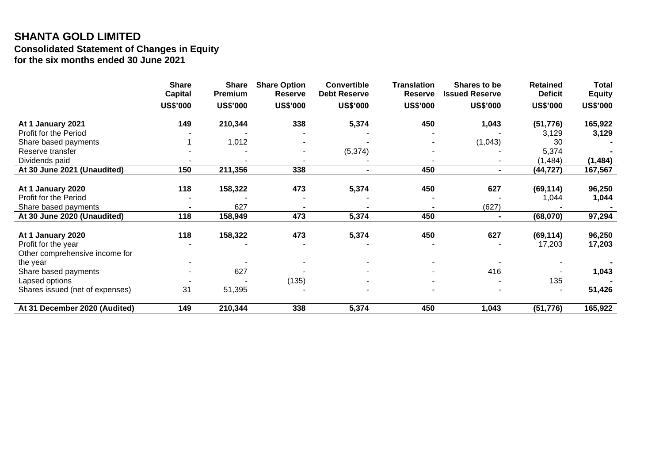## **SHANTA GOLD LIMITED Consolidated Statement of Changes in Equity for the six months ended 30 June 2021**

|                                 | <b>Share</b><br><b>Capital</b> | <b>Share</b><br>Premium | <b>Share Option</b><br><b>Reserve</b> | <b>Convertible</b><br><b>Debt Reserve</b> | <b>Translation</b><br><b>Reserve</b> | Shares to be<br><b>Issued Reserve</b> | <b>Retained</b><br><b>Deficit</b> | <b>Total</b><br><b>Equity</b> |
|---------------------------------|--------------------------------|-------------------------|---------------------------------------|-------------------------------------------|--------------------------------------|---------------------------------------|-----------------------------------|-------------------------------|
|                                 |                                |                         |                                       |                                           |                                      |                                       |                                   |                               |
|                                 | <b>US\$'000</b>                | <b>US\$'000</b>         | <b>US\$'000</b>                       | <b>US\$'000</b>                           | <b>US\$'000</b>                      | <b>US\$'000</b>                       | <b>US\$'000</b>                   | <b>US\$'000</b>               |
| At 1 January 2021               | 149                            | 210,344                 | 338                                   | 5,374                                     | 450                                  | 1,043                                 | (51, 776)                         | 165,922                       |
| Profit for the Period           |                                |                         |                                       |                                           |                                      |                                       | 3,129                             | 3,129                         |
| Share based payments            |                                | 1,012                   |                                       |                                           |                                      | (1,043)                               | 30                                |                               |
| Reserve transfer                |                                |                         |                                       | (5, 374)                                  |                                      |                                       | 5,374                             |                               |
| Dividends paid                  |                                |                         |                                       |                                           |                                      |                                       | (1, 484)                          | (1, 484)                      |
| At 30 June 2021 (Unaudited)     | 150                            | 211,356                 | 338                                   |                                           | 450                                  | $\blacksquare$                        | (44, 727)                         | 167,567                       |
|                                 |                                |                         |                                       |                                           |                                      |                                       |                                   |                               |
| At 1 January 2020               | 118                            | 158,322                 | 473                                   | 5,374                                     | 450                                  | 627                                   | (69, 114)                         | 96,250                        |
| Profit for the Period           |                                |                         |                                       |                                           |                                      |                                       | 1,044                             | 1,044                         |
| Share based payments            |                                | 627                     |                                       |                                           |                                      | (627)                                 |                                   |                               |
| At 30 June 2020 (Unaudited)     | 118                            | 158,949                 | 473                                   | 5,374                                     | 450                                  | $\blacksquare$                        | (68,070)                          | 97,294                        |
| At 1 January 2020               | 118                            | 158,322                 | 473                                   | 5,374                                     | 450                                  | 627                                   | (69, 114)                         | 96,250                        |
| Profit for the year             |                                |                         |                                       |                                           |                                      |                                       | 17,203                            | 17,203                        |
| Other comprehensive income for  |                                |                         |                                       |                                           |                                      |                                       |                                   |                               |
| the year                        |                                |                         |                                       |                                           |                                      |                                       |                                   |                               |
| Share based payments            |                                | 627                     |                                       |                                           |                                      | 416                                   |                                   | 1,043                         |
| Lapsed options                  |                                |                         | (135)                                 |                                           |                                      |                                       | 135                               |                               |
| Shares issued (net of expenses) | 31                             | 51,395                  |                                       |                                           |                                      |                                       |                                   | 51,426                        |
|                                 |                                |                         |                                       |                                           |                                      |                                       |                                   |                               |
| At 31 December 2020 (Audited)   | 149                            | 210,344                 | 338                                   | 5,374                                     | 450                                  | 1,043                                 | (51, 776)                         | 165,922                       |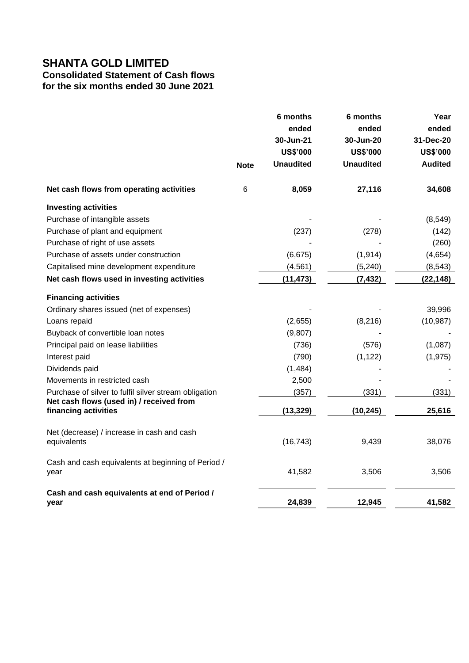# **Consolidated Statement of Cash flows**

**for the six months ended 30 June 2021**

|                                                                  |             | 6 months<br>ended<br>30-Jun-21 | 6 months<br>ended<br>30-Jun-20 | Year<br>ended<br>31-Dec-20 |
|------------------------------------------------------------------|-------------|--------------------------------|--------------------------------|----------------------------|
|                                                                  |             | <b>US\$'000</b>                | <b>US\$'000</b>                | <b>US\$'000</b>            |
|                                                                  | <b>Note</b> | <b>Unaudited</b>               | <b>Unaudited</b>               | <b>Audited</b>             |
| Net cash flows from operating activities                         | 6           | 8,059                          | 27,116                         | 34,608                     |
| <b>Investing activities</b>                                      |             |                                |                                |                            |
| Purchase of intangible assets                                    |             |                                |                                | (8, 549)                   |
| Purchase of plant and equipment                                  |             | (237)                          | (278)                          | (142)                      |
| Purchase of right of use assets                                  |             |                                |                                | (260)                      |
| Purchase of assets under construction                            |             | (6, 675)                       | (1, 914)                       | (4,654)                    |
| Capitalised mine development expenditure                         |             | (4, 561)                       | (5, 240)                       | (8, 543)                   |
| Net cash flows used in investing activities                      |             | (11, 473)                      | (7, 432)                       | (22, 148)                  |
| <b>Financing activities</b>                                      |             |                                |                                |                            |
| Ordinary shares issued (net of expenses)                         |             |                                |                                | 39,996                     |
| Loans repaid                                                     |             | (2,655)                        | (8, 216)                       | (10, 987)                  |
| Buyback of convertible loan notes                                |             | (9,807)                        |                                |                            |
| Principal paid on lease liabilities                              |             | (736)                          | (576)                          | (1,087)                    |
| Interest paid                                                    |             | (790)                          | (1, 122)                       | (1, 975)                   |
| Dividends paid                                                   |             | (1, 484)                       |                                |                            |
| Movements in restricted cash                                     |             | 2,500                          |                                |                            |
| Purchase of silver to fulfil silver stream obligation            |             | (357)                          | (331)                          | (331)                      |
| Net cash flows (used in) / received from<br>financing activities |             | (13, 329)                      | (10, 245)                      | 25,616                     |
| Net (decrease) / increase in cash and cash<br>equivalents        |             | (16, 743)                      | 9,439                          | 38,076                     |
| Cash and cash equivalents at beginning of Period /<br>year       |             | 41,582                         | 3,506                          | 3,506                      |
| Cash and cash equivalents at end of Period /<br>year             |             | 24,839                         | 12,945                         | 41,582                     |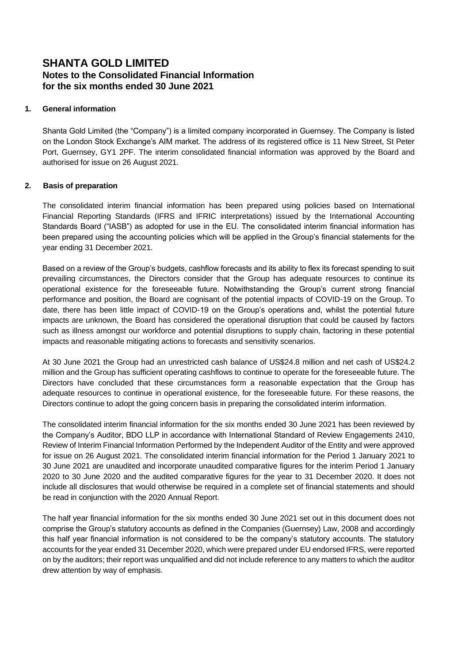## **SHANTA GOLD LIMITED Notes to the Consolidated Financial Information for the six months ended 30 June 2021**

## **1. General information**

Shanta Gold Limited (the "Company") is a limited company incorporated in Guernsey. The Company is listed on the London Stock Exchange's AIM market. The address of its registered office is 11 New Street, St Peter Port, Guernsey, GY1 2PF. The interim consolidated financial information was approved by the Board and authorised for issue on 26 August 2021.

## **2. Basis of preparation**

The consolidated interim financial information has been prepared using policies based on International Financial Reporting Standards (IFRS and IFRIC interpretations) issued by the International Accounting Standards Board ("IASB") as adopted for use in the EU. The consolidated interim financial information has been prepared using the accounting policies which will be applied in the Group's financial statements for the year ending 31 December 2021.

Based on a review of the Group's budgets, cashflow forecasts and its ability to flex its forecast spending to suit prevailing circumstances, the Directors consider that the Group has adequate resources to continue its operational existence for the foreseeable future. Notwithstanding the Group's current strong financial performance and position, the Board are cognisant of the potential impacts of COVID-19 on the Group. To date, there has been little impact of COVID-19 on the Group's operations and, whilst the potential future impacts are unknown, the Board has considered the operational disruption that could be caused by factors such as illness amongst our workforce and potential disruptions to supply chain, factoring in these potential impacts and reasonable mitigating actions to forecasts and sensitivity scenarios.

At 30 June 2021 the Group had an unrestricted cash balance of US\$24.8 million and net cash of US\$24.2 million and the Group has sufficient operating cashflows to continue to operate for the foreseeable future. The Directors have concluded that these circumstances form a reasonable expectation that the Group has adequate resources to continue in operational existence, for the foreseeable future. For these reasons, the Directors continue to adopt the going concern basis in preparing the consolidated interim information.

The consolidated interim financial information for the six months ended 30 June 2021 has been reviewed by the Company's Auditor, BDO LLP in accordance with International Standard of Review Engagements 2410, Review of Interim Financial Information Performed by the Independent Auditor of the Entity and were approved for issue on 26 August 2021. The consolidated interim financial information for the Period 1 January 2021 to 30 June 2021 are unaudited and incorporate unaudited comparative figures for the interim Period 1 January 2020 to 30 June 2020 and the audited comparative figures for the year to 31 December 2020. It does not include all disclosures that would otherwise be required in a complete set of financial statements and should be read in conjunction with the 2020 Annual Report.

The half year financial information for the six months ended 30 June 2021 set out in this document does not comprise the Group's statutory accounts as defined in the Companies (Guernsey) Law, 2008 and accordingly this half year financial information is not considered to be the company's statutory accounts. The statutory accounts for the year ended 31 December 2020, which were prepared under EU endorsed IFRS, were reported on by the auditors; their report was unqualified and did not include reference to any matters to which the auditor drew attention by way of emphasis.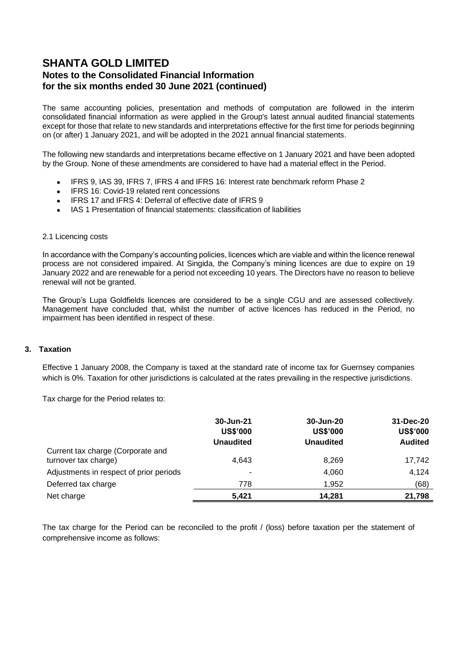## **SHANTA GOLD LIMITED Notes to the Consolidated Financial Information for the six months ended 30 June 2021 (continued)**

The same accounting policies, presentation and methods of computation are followed in the interim consolidated financial information as were applied in the Group's latest annual audited financial statements except for those that relate to new standards and interpretations effective for the first time for periods beginning on (or after) 1 January 2021, and will be adopted in the 2021 annual financial statements.

The following new standards and interpretations became effective on 1 January 2021 and have been adopted by the Group. None of these amendments are considered to have had a material effect in the Period.

- IFRS 9, IAS 39, IFRS 7, IFRS 4 and IFRS 16: Interest rate benchmark reform Phase 2
- IFRS 16: Covid-19 related rent concessions
- IFRS 17 and IFRS 4: Deferral of effective date of IFRS 9
- IAS 1 Presentation of financial statements: classification of liabilities

### 2.1 Licencing costs

In accordance with the Company's accounting policies, licences which are viable and within the licence renewal process are not considered impaired. At Singida, the Company's mining licences are due to expire on 19 January 2022 and are renewable for a period not exceeding 10 years. The Directors have no reason to believe renewal will not be granted.

The Group's Lupa Goldfields licences are considered to be a single CGU and are assessed collectively. Management have concluded that, whilst the number of active licences has reduced in the Period, no impairment has been identified in respect of these.

### **3. Taxation**

Effective 1 January 2008, the Company is taxed at the standard rate of income tax for Guernsey companies which is 0%. Taxation for other jurisdictions is calculated at the rates prevailing in the respective jurisdictions.

Tax charge for the Period relates to:

|                                                           | 30-Jun-21<br><b>US\$'000</b><br><b>Unaudited</b> | 30-Jun-20<br><b>US\$'000</b><br><b>Unaudited</b> | 31-Dec-20<br><b>US\$'000</b><br><b>Audited</b> |
|-----------------------------------------------------------|--------------------------------------------------|--------------------------------------------------|------------------------------------------------|
| Current tax charge (Corporate and<br>turnover tax charge) | 4,643                                            | 8,269                                            | 17,742                                         |
| Adjustments in respect of prior periods                   | ۰                                                | 4,060                                            | 4,124                                          |
| Deferred tax charge                                       | 778                                              | 1,952                                            | (68)                                           |
| Net charge                                                | 5,421                                            | 14.281                                           | 21,798                                         |

The tax charge for the Period can be reconciled to the profit / (loss) before taxation per the statement of comprehensive income as follows: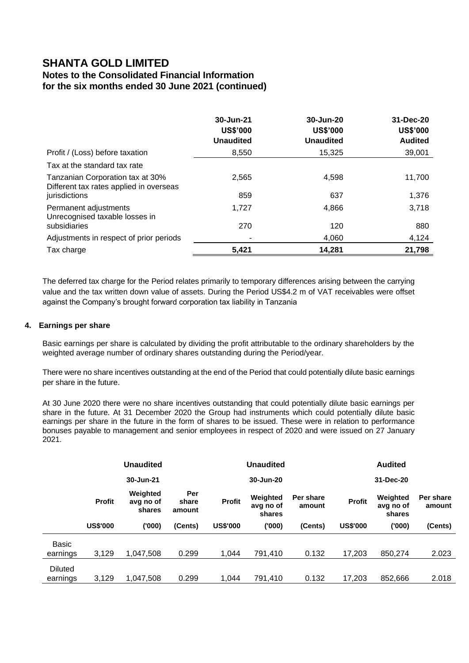## **Notes to the Consolidated Financial Information for the six months ended 30 June 2021 (continued)**

|                                                                             | 30-Jun-21<br><b>US\$'000</b><br><b>Unaudited</b> | 30-Jun-20<br><b>US\$'000</b><br><b>Unaudited</b> | 31-Dec-20<br><b>US\$'000</b><br><b>Audited</b> |
|-----------------------------------------------------------------------------|--------------------------------------------------|--------------------------------------------------|------------------------------------------------|
| Profit / (Loss) before taxation                                             | 8.550                                            | 15.325                                           | 39,001                                         |
| Tax at the standard tax rate                                                |                                                  |                                                  |                                                |
| Tanzanian Corporation tax at 30%<br>Different tax rates applied in overseas | 2,565                                            | 4,598                                            | 11,700                                         |
| jurisdictions                                                               | 859                                              | 637                                              | 1,376                                          |
| Permanent adjustments<br>Unrecognised taxable losses in                     | 1,727                                            | 4,866                                            | 3,718                                          |
| subsidiaries                                                                | 270                                              | 120                                              | 880                                            |
| Adjustments in respect of prior periods                                     | ٠                                                | 4,060                                            | 4,124                                          |
| Tax charge                                                                  | 5.421                                            | 14,281                                           | 21,798                                         |

The deferred tax charge for the Period relates primarily to temporary differences arising between the carrying value and the tax written down value of assets. During the Period US\$4.2 m of VAT receivables were offset against the Company's brought forward corporation tax liability in Tanzania

### **4. Earnings per share**

Basic earnings per share is calculated by dividing the profit attributable to the ordinary shareholders by the weighted average number of ordinary shares outstanding during the Period/year.

There were no share incentives outstanding at the end of the Period that could potentially dilute basic earnings per share in the future.

At 30 June 2020 there were no share incentives outstanding that could potentially dilute basic earnings per share in the future. At 31 December 2020 the Group had instruments which could potentially dilute basic earnings per share in the future in the form of shares to be issued. These were in relation to performance bonuses payable to management and senior employees in respect of 2020 and were issued on 27 January 2021.

|                            |                 | <b>Unaudited</b>                |                        |                 | Unaudited                       |                     |                 | <b>Audited</b>                  |                     |
|----------------------------|-----------------|---------------------------------|------------------------|-----------------|---------------------------------|---------------------|-----------------|---------------------------------|---------------------|
|                            |                 | 30-Jun-21                       |                        |                 | 30-Jun-20                       |                     |                 | 31-Dec-20                       |                     |
|                            | <b>Profit</b>   | Weighted<br>avg no of<br>shares | Per<br>share<br>amount | <b>Profit</b>   | Weighted<br>avg no of<br>shares | Per share<br>amount | <b>Profit</b>   | Weighted<br>avg no of<br>shares | Per share<br>amount |
|                            | <b>US\$'000</b> | ('000)                          | (Cents)                | <b>US\$'000</b> | (000)                           | (Cents)             | <b>US\$'000</b> | ('000)                          | (Cents)             |
| <b>Basic</b><br>earnings   | 3,129           | 1,047,508                       | 0.299                  | 1.044           | 791,410                         | 0.132               | 17,203          | 850,274                         | 2.023               |
| <b>Diluted</b><br>earnings | 3,129           | 1.047.508                       | 0.299                  | 1.044           | 791.410                         | 0.132               | 17,203          | 852,666                         | 2.018               |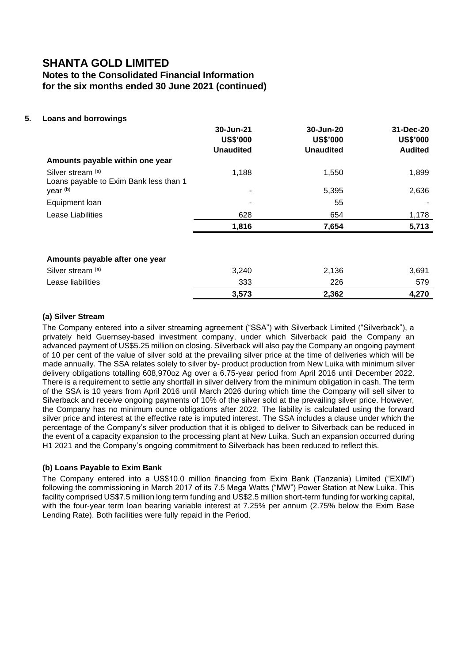## **SHANTA GOLD LIMITED Notes to the Consolidated Financial Information for the six months ended 30 June 2021 (continued)**

## **5. Loans and borrowings**

|                                        | 30-Jun-21        | 30-Jun-20        | 31-Dec-20       |
|----------------------------------------|------------------|------------------|-----------------|
|                                        | <b>US\$'000</b>  | <b>US\$'000</b>  | <b>US\$'000</b> |
|                                        | <b>Unaudited</b> | <b>Unaudited</b> | <b>Audited</b>  |
| Amounts payable within one year        |                  |                  |                 |
| Silver stream (a)                      | 1,188            | 1,550            | 1,899           |
| Loans payable to Exim Bank less than 1 |                  |                  |                 |
| year (b)                               |                  | 5,395            | 2,636           |
| Equipment loan                         |                  | 55               |                 |
| <b>Lease Liabilities</b>               | 628              | 654              | 1,178           |
|                                        | 1,816            | 7,654            | 5,713           |
|                                        |                  |                  |                 |
| Amounts payable after one year         |                  |                  |                 |
| Silver stream (a)                      | 3,240            | 2,136            | 3,691           |
| Lease liabilities                      | 333              | 226              | 579             |
|                                        | 3,573            | 2,362            | 4,270           |

## **(a) Silver Stream**

The Company entered into a silver streaming agreement ("SSA") with Silverback Limited ("Silverback"), a privately held Guernsey-based investment company, under which Silverback paid the Company an advanced payment of US\$5.25 million on closing. Silverback will also pay the Company an ongoing payment of 10 per cent of the value of silver sold at the prevailing silver price at the time of deliveries which will be made annually. The SSA relates solely to silver by- product production from New Luika with minimum silver delivery obligations totalling 608,970oz Ag over a 6.75-year period from April 2016 until December 2022. There is a requirement to settle any shortfall in silver delivery from the minimum obligation in cash. The term of the SSA is 10 years from April 2016 until March 2026 during which time the Company will sell silver to Silverback and receive ongoing payments of 10% of the silver sold at the prevailing silver price. However, the Company has no minimum ounce obligations after 2022. The liability is calculated using the forward silver price and interest at the effective rate is imputed interest. The SSA includes a clause under which the percentage of the Company's silver production that it is obliged to deliver to Silverback can be reduced in the event of a capacity expansion to the processing plant at New Luika. Such an expansion occurred during H1 2021 and the Company's ongoing commitment to Silverback has been reduced to reflect this.

### **(b) Loans Payable to Exim Bank**

The Company entered into a US\$10.0 million financing from Exim Bank (Tanzania) Limited ("EXIM") following the commissioning in March 2017 of its 7.5 Mega Watts ("MW") Power Station at New Luika. This facility comprised US\$7.5 million long term funding and US\$2.5 million short-term funding for working capital, with the four-year term loan bearing variable interest at 7.25% per annum (2.75% below the Exim Base Lending Rate). Both facilities were fully repaid in the Period.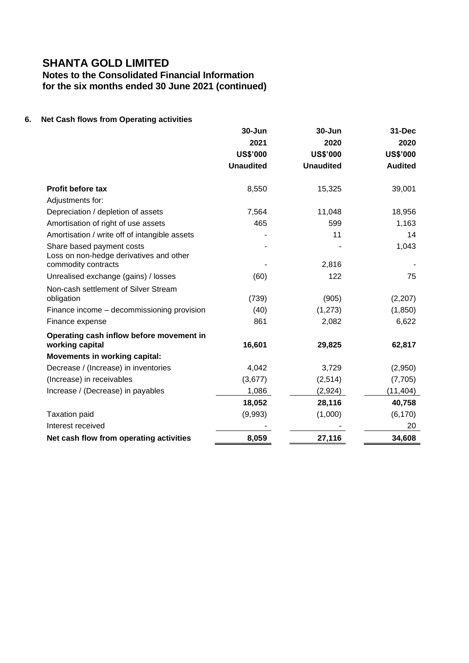**Notes to the Consolidated Financial Information for the six months ended 30 June 2021 (continued)**

## **6. Net Cash flows from Operating activities**

|                                                                      | 30-Jun           | 30-Jun           | 31-Dec          |
|----------------------------------------------------------------------|------------------|------------------|-----------------|
|                                                                      | 2021             | 2020             | 2020            |
|                                                                      | <b>US\$'000</b>  | <b>US\$'000</b>  | <b>US\$'000</b> |
|                                                                      | <b>Unaudited</b> | <b>Unaudited</b> | <b>Audited</b>  |
| <b>Profit before tax</b>                                             | 8,550            | 15,325           | 39,001          |
| Adjustments for:                                                     |                  |                  |                 |
| Depreciation / depletion of assets                                   | 7,564            | 11,048           | 18,956          |
| Amortisation of right of use assets                                  | 465              | 599              | 1,163           |
| Amortisation / write off of intangible assets                        |                  | 11               | 14              |
| Share based payment costs<br>Loss on non-hedge derivatives and other |                  |                  | 1,043           |
| commodity contracts                                                  |                  | 2,816            |                 |
| Unrealised exchange (gains) / losses                                 | (60)             | 122              | 75              |
| Non-cash settlement of Silver Stream                                 |                  |                  |                 |
| obligation                                                           | (739)            | (905)            | (2,207)         |
| Finance income - decommissioning provision                           | (40)             | (1, 273)         | (1, 850)        |
| Finance expense                                                      | 861              | 2,082            | 6,622           |
| Operating cash inflow before movement in                             |                  |                  |                 |
| working capital                                                      | 16,601           | 29,825           | 62,817          |
| Movements in working capital:                                        |                  |                  |                 |
| Decrease / (Increase) in inventories                                 | 4,042            | 3,729            | (2,950)         |
| (Increase) in receivables                                            | (3,677)          | (2,514)          | (7,705)         |
| Increase / (Decrease) in payables                                    | 1,086            | (2,924)          | (11, 404)       |
|                                                                      | 18,052           | 28,116           | 40,758          |
| <b>Taxation paid</b>                                                 | (9,993)          | (1,000)          | (6, 170)        |
| Interest received                                                    |                  |                  | 20              |
| Net cash flow from operating activities                              | 8,059            | 27,116           | 34,608          |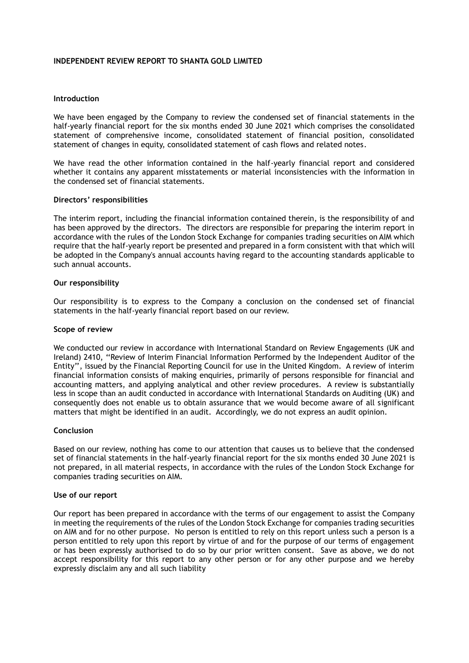### **INDEPENDENT REVIEW REPORT TO SHANTA GOLD LIMITED**

### **Introduction**

We have been engaged by the Company to review the condensed set of financial statements in the half-yearly financial report for the six months ended 30 June 2021 which comprises the consolidated statement of comprehensive income, consolidated statement of financial position, consolidated statement of changes in equity, consolidated statement of cash flows and related notes.

We have read the other information contained in the half-yearly financial report and considered whether it contains any apparent misstatements or material inconsistencies with the information in the condensed set of financial statements.

#### **Directors' responsibilities**

The interim report, including the financial information contained therein, is the responsibility of and has been approved by the directors. The directors are responsible for preparing the interim report in accordance with the rules of the London Stock Exchange for companies trading securities on AIM which require that the half-yearly report be presented and prepared in a form consistent with that which will be adopted in the Company's annual accounts having regard to the accounting standards applicable to such annual accounts.

#### **Our responsibility**

Our responsibility is to express to the Company a conclusion on the condensed set of financial statements in the half-yearly financial report based on our review.

#### **Scope of review**

We conducted our review in accordance with International Standard on Review Engagements (UK and Ireland) 2410, ''Review of Interim Financial Information Performed by the Independent Auditor of the Entity'', issued by the Financial Reporting Council for use in the United Kingdom. A review of interim financial information consists of making enquiries, primarily of persons responsible for financial and accounting matters, and applying analytical and other review procedures. A review is substantially less in scope than an audit conducted in accordance with International Standards on Auditing (UK) and consequently does not enable us to obtain assurance that we would become aware of all significant matters that might be identified in an audit. Accordingly, we do not express an audit opinion.

### **Conclusion**

Based on our review, nothing has come to our attention that causes us to believe that the condensed set of financial statements in the half-yearly financial report for the six months ended 30 June 2021 is not prepared, in all material respects, in accordance with the rules of the London Stock Exchange for companies trading securities on AIM.

#### **Use of our report**

Our report has been prepared in accordance with the terms of our engagement to assist the Company in meeting the requirements of the rules of the London Stock Exchange for companies trading securities on AIM and for no other purpose. No person is entitled to rely on this report unless such a person is a person entitled to rely upon this report by virtue of and for the purpose of our terms of engagement or has been expressly authorised to do so by our prior written consent. Save as above, we do not accept responsibility for this report to any other person or for any other purpose and we hereby expressly disclaim any and all such liability